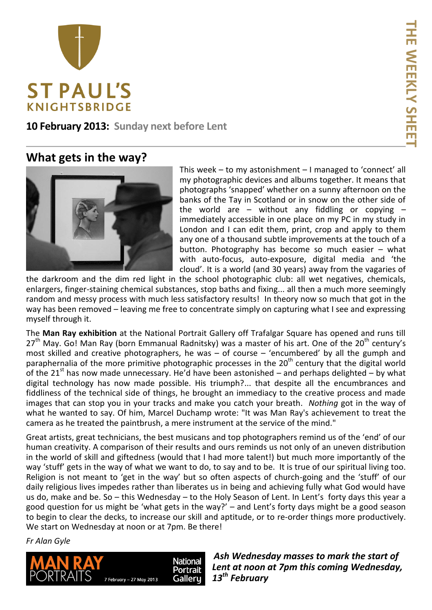

**10 February 2013: Sunday next before Lent**

## **What gets in the way?**



This week – to my astonishment – I managed to 'connect' all my photographic devices and albums together. It means that photographs 'snapped' whether on a sunny afternoon on the banks of the Tay in Scotland or in snow on the other side of the world are  $-$  without any fiddling or copying  $$ immediately accessible in one place on my PC in my study in London and I can edit them, print, crop and apply to them any one of a thousand subtle improvements at the touch of a button. Photography has become so much easier – what with auto-focus, auto-exposure, digital media and 'the cloud'. It is a world (and 30 years) away from the vagaries of

the darkroom and the dim red light in the school photographic club: all wet negatives, chemicals, enlargers, finger-staining chemical substances, stop baths and fixing... all then a much more seemingly random and messy process with much less satisfactory results! In theory now so much that got in the way has been removed – leaving me free to concentrate simply on capturing what I see and expressing myself through it.

The **Man Ray exhibition** at the National Portrait Gallery off Trafalgar Square has opened and runs till  $27<sup>th</sup>$  May. Go! Man Ray (born Emmanual Radnitsky) was a master of his art. One of the  $20<sup>th</sup>$  century's most skilled and creative photographers, he was – of course – 'encumbered' by all the gumph and paraphernalia of the more primitive photographic processes in the  $20<sup>th</sup>$  century that the digital world of the 21<sup>st</sup> has now made unnecessary. He'd have been astonished – and perhaps delighted – by what digital technology has now made possible. His triumph?... that despite all the encumbrances and fiddliness of the technical side of things, he brought an immediacy to the creative process and made images that can stop you in your tracks and make you catch your breath. *Nothing* got in the way of what he wanted to say. Of him, Marcel Duchamp wrote: "It was Man Ray's achievement to treat the camera as he treated the paintbrush, a mere instrument at the service of the mind."

Great artists, great technicians, the best musicans and top photographers remind us of the 'end' of our human creativity. A comparison of their results and ours reminds us not only of an uneven distribution in the world of skill and giftedness (would that I had more talent!) but much more importantly of the way 'stuff' gets in the way of what we want to do, to say and to be. It is true of our spiritual living too. Religion is not meant to 'get in the way' but so often aspects of church-going and the 'stuff' of our daily religious lives impedes rather than liberates us in being and achieving fully what God would have us do, make and be. So – this Wednesday – to the Holy Season of Lent. In Lent's forty days this year a good question for us might be 'what gets in the way?' – and Lent's forty days might be a good season to begin to clear the decks, to increase our skill and aptitude, or to re-order things more productively. We start on Wednesday at noon or at 7pm. Be there!

*Fr Alan Gyle*



*Ash Wednesday masses to mark the start of Lent at noon at 7pm this coming Wednesday, 13th February*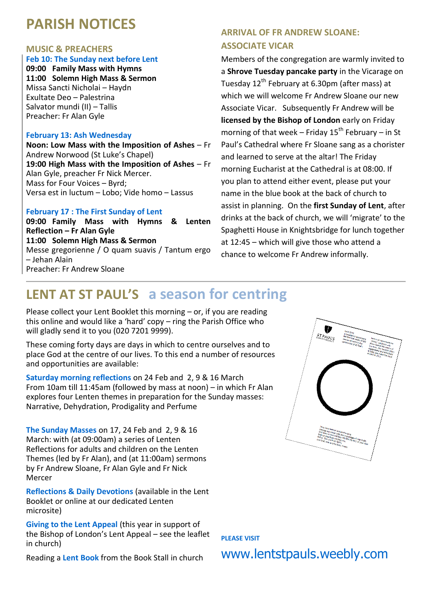# **PARISH NOTICES**

#### **MUSIC & PREACHERS**

#### **Feb 10: The Sunday next before Lent**

**09:00 Family Mass with Hymns 11:00 Solemn High Mass & Sermon** Missa Sancti Nicholai – Haydn Exultate Deo – Palestrina Salvator mundi (II) – Tallis Preacher: Fr Alan Gyle

#### **February 13: Ash Wednesday**

**Noon: Low Mass with the Imposition of Ashes** – Fr Andrew Norwood (St Luke's Chapel) **19:00 High Mass with the Imposition of Ashes** – Fr Alan Gyle, preacher Fr Nick Mercer. Mass for Four Voices – Byrd; Versa est in luctum – Lobo; Vide homo – Lassus

#### **February 17 : The First Sunday of Lent**

**09:00 Family Mass with Hymns & Lenten Reflection – Fr Alan Gyle 11:00 Solemn High Mass & Sermon** Messe gregorienne / O quam suavis / Tantum ergo – Jehan Alain Preacher: Fr Andrew Sloane

## **ARRIVAL OF FR ANDREW SLOANE: ASSOCIATE VICAR**

Members of the congregation are warmly invited to a **Shrove Tuesday pancake party** in the Vicarage on Tuesday  $12^{th}$  February at 6.30pm (after mass) at which we will welcome Fr Andrew Sloane our new Associate Vicar. Subsequently Fr Andrew will be **licensed by the Bishop of London** early on Friday morning of that week – Friday  $15^{th}$  February – in St Paul's Cathedral where Fr Sloane sang as a chorister and learned to serve at the altar! The Friday morning Eucharist at the Cathedral is at 08:00. If you plan to attend either event, please put your name in the blue book at the back of church to assist in planning. On the **first Sunday of Lent**, after drinks at the back of church, we will 'migrate' to the Spaghetti House in Knightsbridge for lunch together at 12:45 – which will give those who attend a chance to welcome Fr Andrew informally.

## **LENT AT ST PAUL'S a season for centring**

Please collect your Lent Booklet this morning – or, if you are reading this online and would like a 'hard' copy – ring the Parish Office who will gladly send it to you (020 7201 9999).

These coming forty days are days in which to centre ourselves and to place God at the centre of our lives. To this end a number of resources and opportunities are available:

**Saturday morning reflections** on 24 Feb and 2, 9 & 16 March From 10am till 11:45am (followed by mass at noon) – in which Fr Alan explores four Lenten themes in preparation for the Sunday masses: Narrative, Dehydration, Prodigality and Perfume

**The Sunday Masses** on 17, 24 Feb and 2, 9 & 16 March: with (at 09:00am) a series of Lenten Reflections for adults and children on the Lenten Themes (led by Fr Alan), and (at 11:00am) sermons by Fr Andrew Sloane, Fr Alan Gyle and Fr Nick Mercer

**Reflections & Daily Devotions** (available in the Lent Booklet or online at our dedicated Lenten microsite)

**Giving to the Lent Appeal** (this year in support of the Bishop of London's Lent Appeal – see the leaflet in church)

Reading a **Lent Book** from the Book Stall in church



**PLEASE VISIT** 

www.lentstpauls.weebly.com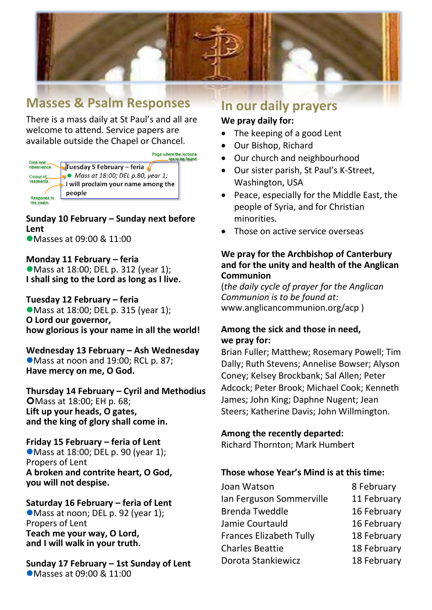

## **Masses & Psalm Responses**

There is a mass daily at St Paul's and all are welcome to attend. Service papers are available outside the Chapel or Chancel.

Page where the lections<br>are to be found



**Sunday 10 February – Sunday next before Lent** ● Masses at 09:00 & 11:00

**Monday 11 February – feria** ● Mass at 18:00; DEL p. 312 (year 1); **I shall sing to the Lord as long as I live.**

**Tuesday 12 February – feria**  ● Mass at 18:00; DEL p. 315 (year 1); **O Lord our governor, how glorious is your name in all the world!**

**Wednesday 13 February – Ash Wednesday** Mass at noon and 19:00; RCL p. 87; **Have mercy on me, O God.**

**Thursday 14 February – Cyril and Methodius O**Mass at 18:00: EH p. 68: **Lift up your heads, O gates, and the king of glory shall come in.**

**Friday 15 February – feria of Lent** ● Mass at 18:00; DEL p. 90 (year 1); Propers of Lent **A broken and contrite heart, O God, you will not despise.**

## **Saturday 16 February – feria of Lent**

Mass at noon; DEL p. 92 (year 1); Propers of Lent **Teach me your way, O Lord, and I will walk in your truth.**

**Sunday 17 February – 1st Sunday of Lent** Masses at 09:00 & 11:00

## **In our daily prayers**

### **We pray daily for:**

- The keeping of a good Lent
- Our Bishop, Richard
- Our church and neighbourhood
- Our sister parish, St Paul's K-Street, Washington, USA
- Peace, especially for the Middle East, the people of Syria, and for Christian minorities.
- Those on active service overseas

### **We pray for the Archbishop of Canterbury and for the unity and health of the Anglican Communion**

(*the daily cycle of prayer for the Anglican Communion is to be found at:* www.anglicancommunion.org/acp )

## **Among the sick and those in need, we pray for:**

Brian Fuller; Matthew; Rosemary Powell; Tim Dally; Ruth Stevens; Annelise Bowser; Alyson Coney; Kelsey Brockbank; Sal Allen; Peter Adcock; Peter Brook; Michael Cook; Kenneth James; John King; Daphne Nugent; Jean Steers; Katherine Davis; John Willmington.

## **Among the recently departed:**

Richard Thornton; Mark Humbert

## **Those whose Year's Mind is at this time:**

Joan Watson 8 February Ian Ferguson Sommerville 11 February Brenda Tweddle 16 February Jamie Courtauld 16 February Frances Elizabeth Tully 18 February Charles Beattie 18 February Dorota Stankiewicz 18 February